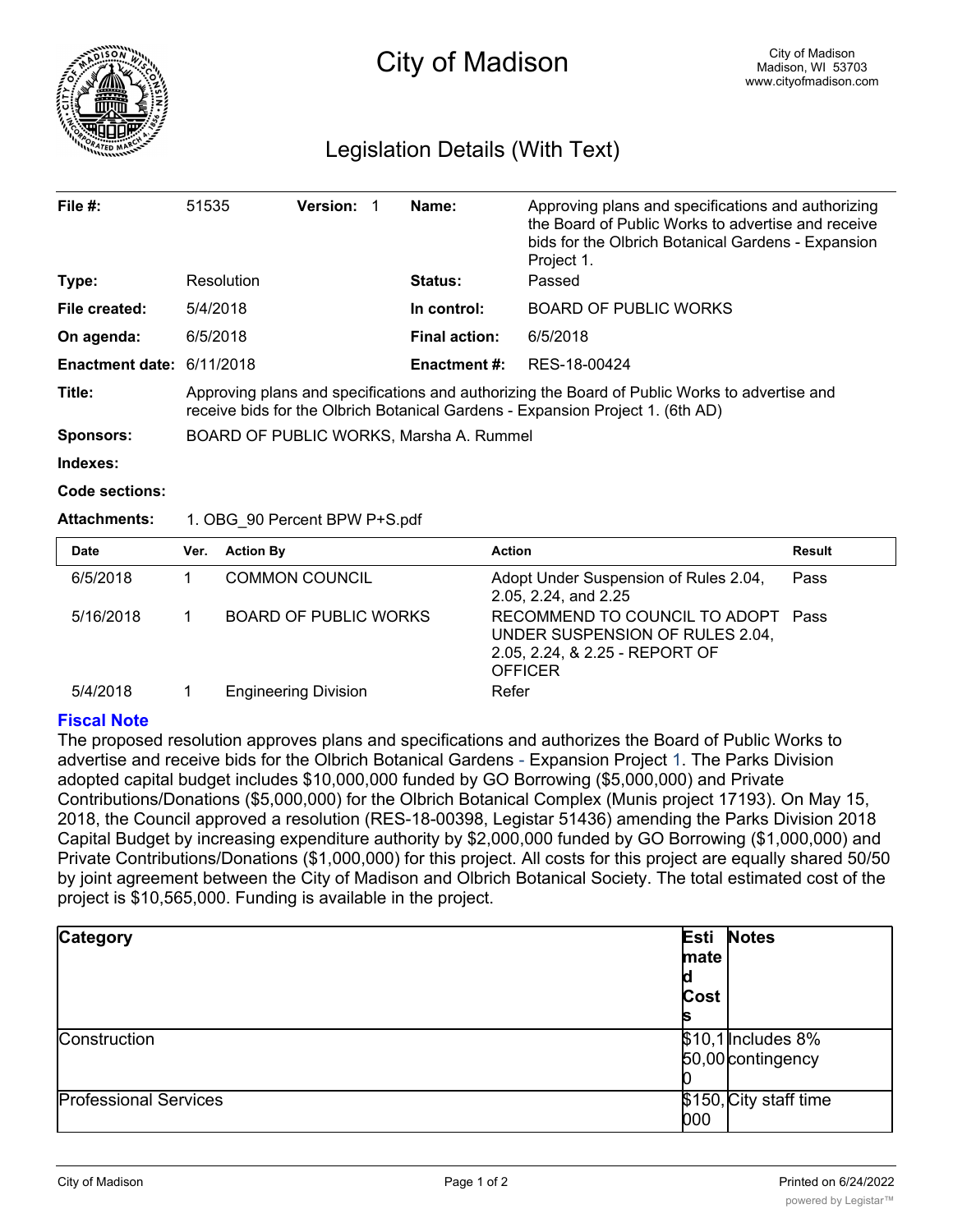

# Legislation Details (With Text)

| File $#$ :                                    | 51535                                                                                                                                                                           | <b>Version:</b> |  | Name:                | Approving plans and specifications and authorizing<br>the Board of Public Works to advertise and receive<br>bids for the Olbrich Botanical Gardens - Expansion<br>Project 1. |
|-----------------------------------------------|---------------------------------------------------------------------------------------------------------------------------------------------------------------------------------|-----------------|--|----------------------|------------------------------------------------------------------------------------------------------------------------------------------------------------------------------|
| Type:                                         | Resolution                                                                                                                                                                      |                 |  | <b>Status:</b>       | Passed                                                                                                                                                                       |
| File created:                                 | 5/4/2018                                                                                                                                                                        |                 |  | In control:          | <b>BOARD OF PUBLIC WORKS</b>                                                                                                                                                 |
| On agenda:                                    | 6/5/2018                                                                                                                                                                        |                 |  | <b>Final action:</b> | 6/5/2018                                                                                                                                                                     |
| <b>Enactment date: <math>6/11/2018</math></b> |                                                                                                                                                                                 |                 |  | <b>Enactment #:</b>  | RES-18-00424                                                                                                                                                                 |
| Title:                                        | Approving plans and specifications and authorizing the Board of Public Works to advertise and<br>receive bids for the Olbrich Botanical Gardens - Expansion Project 1. (6th AD) |                 |  |                      |                                                                                                                                                                              |
| <b>Sponsors:</b>                              | BOARD OF PUBLIC WORKS, Marsha A. Rummel                                                                                                                                         |                 |  |                      |                                                                                                                                                                              |
| Indexes:                                      |                                                                                                                                                                                 |                 |  |                      |                                                                                                                                                                              |
| <b>Code sections:</b>                         |                                                                                                                                                                                 |                 |  |                      |                                                                                                                                                                              |
| <b>Attachments:</b>                           | 1. OBG 90 Percent BPW P+S.pdf                                                                                                                                                   |                 |  |                      |                                                                                                                                                                              |

| <b>Date</b> | Ver. | <b>Action By</b>             | <b>Action</b>                                                                                                             | Result |
|-------------|------|------------------------------|---------------------------------------------------------------------------------------------------------------------------|--------|
| 6/5/2018    |      | <b>COMMON COUNCIL</b>        | Adopt Under Suspension of Rules 2.04,<br>2.05, 2.24, and 2.25                                                             | Pass   |
| 5/16/2018   |      | <b>BOARD OF PUBLIC WORKS</b> | RECOMMEND TO COUNCIL TO ADOPT Pass<br>UNDER SUSPENSION OF RULES 2.04,<br>2.05, 2.24, & 2.25 - REPORT OF<br><b>OFFICER</b> |        |
| 5/4/2018    |      | <b>Engineering Division</b>  | Refer                                                                                                                     |        |

## **Fiscal Note**

The proposed resolution approves plans and specifications and authorizes the Board of Public Works to advertise and receive bids for the Olbrich Botanical Gardens - Expansion Project 1. The Parks Division adopted capital budget includes \$10,000,000 funded by GO Borrowing (\$5,000,000) and Private Contributions/Donations (\$5,000,000) for the Olbrich Botanical Complex (Munis project 17193). On May 15, 2018, the Council approved a resolution (RES-18-00398, Legistar 51436) amending the Parks Division 2018 Capital Budget by increasing expenditure authority by \$2,000,000 funded by GO Borrowing (\$1,000,000) and Private Contributions/Donations (\$1,000,000) for this project. All costs for this project are equally shared 50/50 by joint agreement between the City of Madison and Olbrich Botanical Society. The total estimated cost of the project is \$10,565,000. Funding is available in the project.

| <b>Category</b>              | mate<br>u<br>Cost<br>p | <b>Esti Notes</b>                       |
|------------------------------|------------------------|-----------------------------------------|
| Construction                 |                        | \$10,1 Includes 8%<br>50,00 contingency |
| <b>Professional Services</b> | 000                    | \$150, City staff time                  |

<u>00</u>